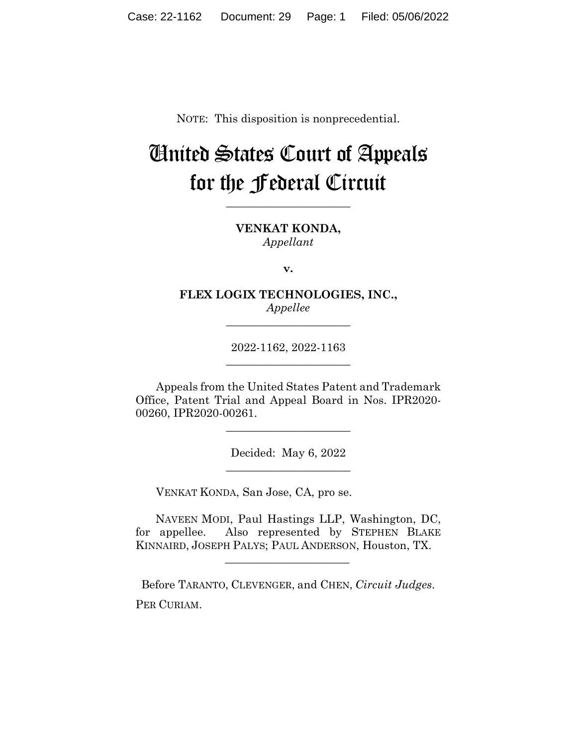NOTE: This disposition is nonprecedential.

# United States Court of Appeals for the Federal Circuit

**\_\_\_\_\_\_\_\_\_\_\_\_\_\_\_\_\_\_\_\_\_\_** 

**VENKAT KONDA,** *Appellant*

**v.**

**FLEX LOGIX TECHNOLOGIES, INC.,** *Appellee*

**\_\_\_\_\_\_\_\_\_\_\_\_\_\_\_\_\_\_\_\_\_\_** 

2022-1162, 2022-1163 **\_\_\_\_\_\_\_\_\_\_\_\_\_\_\_\_\_\_\_\_\_\_** 

Appeals from the United States Patent and Trademark Office, Patent Trial and Appeal Board in Nos. IPR2020- 00260, IPR2020-00261.

 $\overline{\phantom{a}}$  , we can assume that the contract of  $\overline{\phantom{a}}$ 

Decided: May 6, 2022  $\overline{\phantom{a}}$  , we can assume that the contract of  $\overline{\phantom{a}}$ 

VENKAT KONDA, San Jose, CA, pro se.

 $\mathcal{L}_\text{max}$  and  $\mathcal{L}_\text{max}$  and  $\mathcal{L}_\text{max}$  and  $\mathcal{L}_\text{max}$ 

 NAVEEN MODI, Paul Hastings LLP, Washington, DC, for appellee. Also represented by STEPHEN BLAKE KINNAIRD, JOSEPH PALYS; PAUL ANDERSON, Houston, TX.

Before TARANTO, CLEVENGER, and CHEN, *Circuit Judges*. PER CURIAM.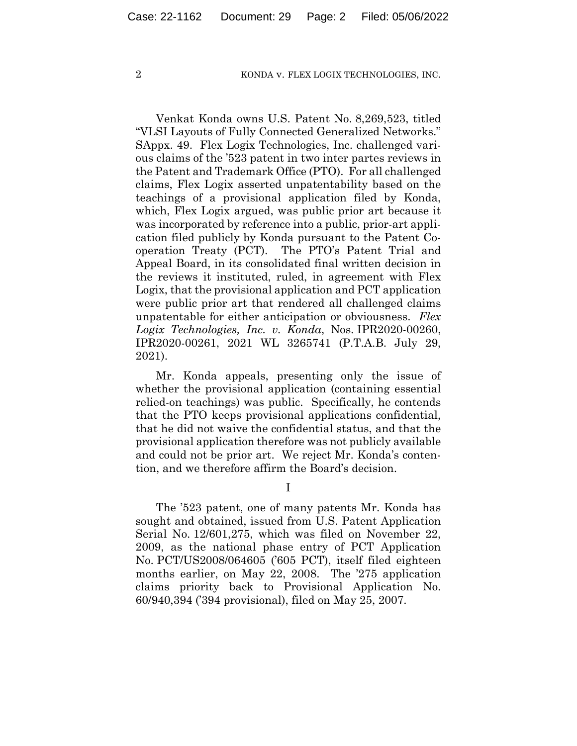Venkat Konda owns U.S. Patent No. 8,269,523, titled "VLSI Layouts of Fully Connected Generalized Networks." SAppx. 49. Flex Logix Technologies, Inc. challenged various claims of the '523 patent in two inter partes reviews in the Patent and Trademark Office (PTO).For all challenged claims, Flex Logix asserted unpatentability based on the teachings of a provisional application filed by Konda, which, Flex Logix argued, was public prior art because it was incorporated by reference into a public, prior-art application filed publicly by Konda pursuant to the Patent Cooperation Treaty (PCT). The PTO's Patent Trial and Appeal Board, in its consolidated final written decision in the reviews it instituted, ruled, in agreement with Flex Logix, that the provisional application and PCT application were public prior art that rendered all challenged claims unpatentable for either anticipation or obviousness. *Flex Logix Technologies, Inc. v. Konda*, Nos. IPR2020-00260, IPR2020-00261, 2021 WL 3265741 (P.T.A.B. July 29, 2021).

Mr. Konda appeals, presenting only the issue of whether the provisional application (containing essential relied-on teachings) was public. Specifically, he contends that the PTO keeps provisional applications confidential, that he did not waive the confidential status, and that the provisional application therefore was not publicly available and could not be prior art. We reject Mr. Konda's contention, and we therefore affirm the Board's decision.

I

The '523 patent, one of many patents Mr. Konda has sought and obtained, issued from U.S. Patent Application Serial No. 12/601,275, which was filed on November 22, 2009, as the national phase entry of PCT Application No. PCT/US2008/064605 ('605 PCT), itself filed eighteen months earlier, on May 22, 2008. The '275 application claims priority back to Provisional Application No. 60/940,394 ('394 provisional), filed on May 25, 2007.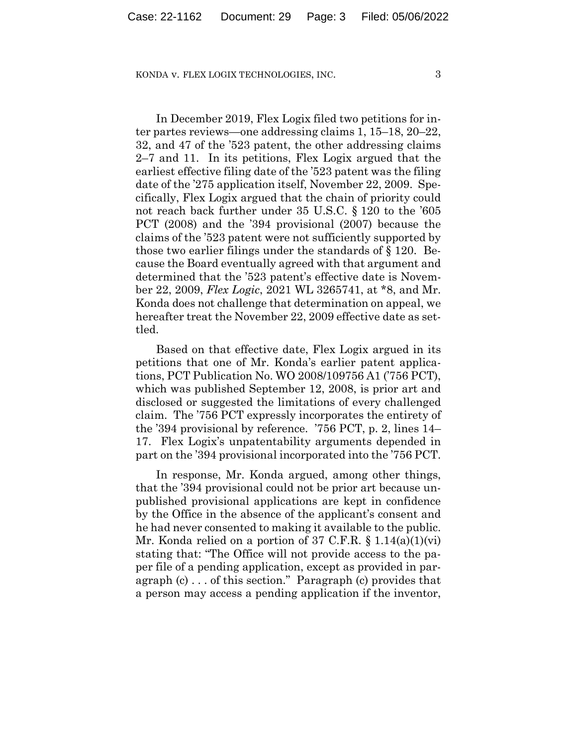In December 2019, Flex Logix filed two petitions for inter partes reviews—one addressing claims 1, 15–18, 20–22, 32, and 47 of the '523 patent, the other addressing claims 2–7 and 11. In its petitions, Flex Logix argued that the earliest effective filing date of the '523 patent was the filing date of the '275 application itself, November 22, 2009. Specifically, Flex Logix argued that the chain of priority could not reach back further under 35 U.S.C. § 120 to the '605 PCT (2008) and the '394 provisional (2007) because the claims of the '523 patent were not sufficiently supported by those two earlier filings under the standards of § 120. Because the Board eventually agreed with that argument and determined that the '523 patent's effective date is November 22, 2009, *Flex Logic*, 2021 WL 3265741, at \*8, and Mr. Konda does not challenge that determination on appeal, we hereafter treat the November 22, 2009 effective date as settled.

Based on that effective date, Flex Logix argued in its petitions that one of Mr. Konda's earlier patent applications, PCT Publication No. WO 2008/109756 A1 ('756 PCT), which was published September 12, 2008, is prior art and disclosed or suggested the limitations of every challenged claim. The '756 PCT expressly incorporates the entirety of the '394 provisional by reference. '756 PCT, p. 2, lines 14– 17.Flex Logix's unpatentability arguments depended in part on the '394 provisional incorporated into the '756 PCT.

In response, Mr. Konda argued, among other things, that the '394 provisional could not be prior art because unpublished provisional applications are kept in confidence by the Office in the absence of the applicant's consent and he had never consented to making it available to the public. Mr. Konda relied on a portion of 37 C.F.R. § 1.14(a)(1)(vi) stating that: "The Office will not provide access to the paper file of a pending application, except as provided in paragraph (c) . . . of this section." Paragraph (c) provides that a person may access a pending application if the inventor,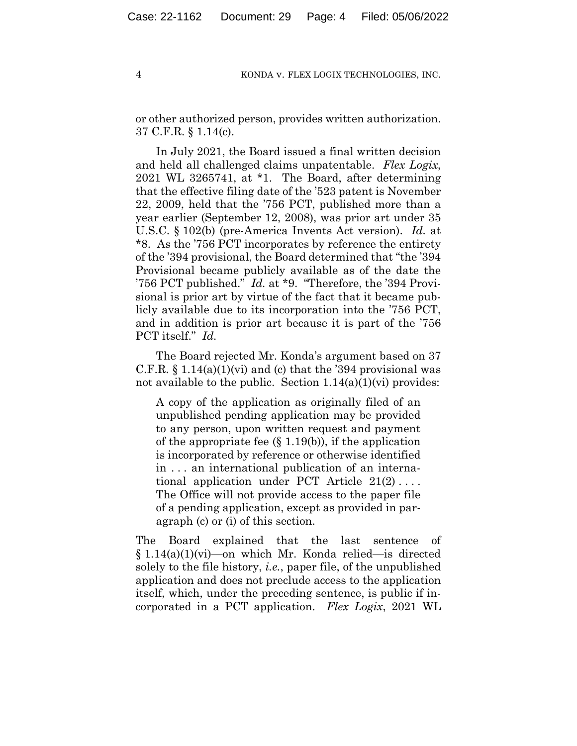or other authorized person, provides written authorization. 37 C.F.R. § 1.14(c).

In July 2021, the Board issued a final written decision and held all challenged claims unpatentable. *Flex Logix*, 2021 WL 3265741, at \*1. The Board, after determining that the effective filing date of the '523 patent is November 22, 2009, held that the '756 PCT, published more than a year earlier (September 12, 2008), was prior art under 35 U.S.C. § 102(b) (pre-America Invents Act version). *Id.* at \*8. As the '756 PCT incorporates by reference the entirety of the '394 provisional, the Board determined that "the '394 Provisional became publicly available as of the date the '756 PCT published." *Id.* at \*9. "Therefore, the '394 Provisional is prior art by virtue of the fact that it became publicly available due to its incorporation into the '756 PCT, and in addition is prior art because it is part of the '756 PCT itself." *Id.*

The Board rejected Mr. Konda's argument based on 37 C.F.R.  $\S 1.14(a)(1)(vi)$  and (c) that the '394 provisional was not available to the public. Section  $1.14(a)(1)(vi)$  provides:

A copy of the application as originally filed of an unpublished pending application may be provided to any person, upon written request and payment of the appropriate fee  $(\S 1.19(b))$ , if the application is incorporated by reference or otherwise identified in . . . an international publication of an international application under PCT Article  $21(2) \ldots$ . The Office will not provide access to the paper file of a pending application, except as provided in paragraph (c) or (i) of this section.

The Board explained that the last sentence of § 1.14(a)(1)(vi)—on which Mr. Konda relied—is directed solely to the file history, *i.e.*, paper file, of the unpublished application and does not preclude access to the application itself, which, under the preceding sentence, is public if incorporated in a PCT application. *Flex Logix*, 2021 WL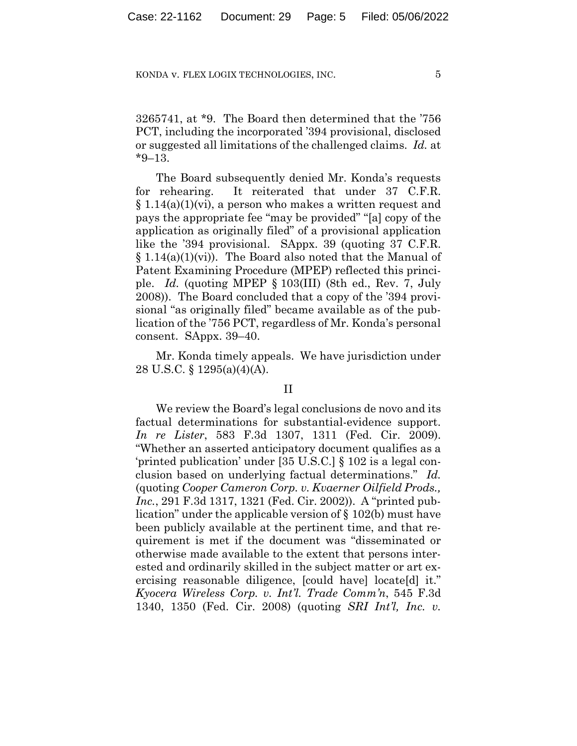3265741, at \*9. The Board then determined that the '756 PCT, including the incorporated '394 provisional, disclosed or suggested all limitations of the challenged claims. *Id.* at \*9–13.

The Board subsequently denied Mr. Konda's requests for rehearing.It reiterated that under 37 C.F.R.  $\S 1.14(a)(1)(vi)$ , a person who makes a written request and pays the appropriate fee "may be provided" "[a] copy of the application as originally filed" of a provisional application like the '394 provisional. SAppx. 39 (quoting 37 C.F.R.  $\S 1.14(a)(1)(vi)$ . The Board also noted that the Manual of Patent Examining Procedure (MPEP) reflected this principle. *Id.* (quoting MPEP § 103(III) (8th ed., Rev. 7, July 2008)). The Board concluded that a copy of the '394 provisional "as originally filed" became available as of the publication of the '756 PCT, regardless of Mr. Konda's personal consent. SAppx. 39–40.

Mr. Konda timely appeals. We have jurisdiction under 28 U.S.C. § 1295(a)(4)(A).

## II

We review the Board's legal conclusions de novo and its factual determinations for substantial-evidence support. *In re Lister*, 583 F.3d 1307, 1311 (Fed. Cir. 2009). "Whether an asserted anticipatory document qualifies as a 'printed publication' under [35 U.S.C.] § 102 is a legal conclusion based on underlying factual determinations." *Id.*  (quoting *Cooper Cameron Corp. v. Kvaerner Oilfield Prods., Inc.*, 291 F.3d 1317, 1321 (Fed. Cir. 2002)). A "printed publication" under the applicable version of § 102(b) must have been publicly available at the pertinent time, and that requirement is met if the document was "disseminated or otherwise made available to the extent that persons interested and ordinarily skilled in the subject matter or art exercising reasonable diligence, [could have] locate[d] it." *Kyocera Wireless Corp. v. Int'l. Trade Comm'n*, 545 F.3d 1340, 1350 (Fed. Cir. 2008) (quoting *SRI Int'l, Inc. v.*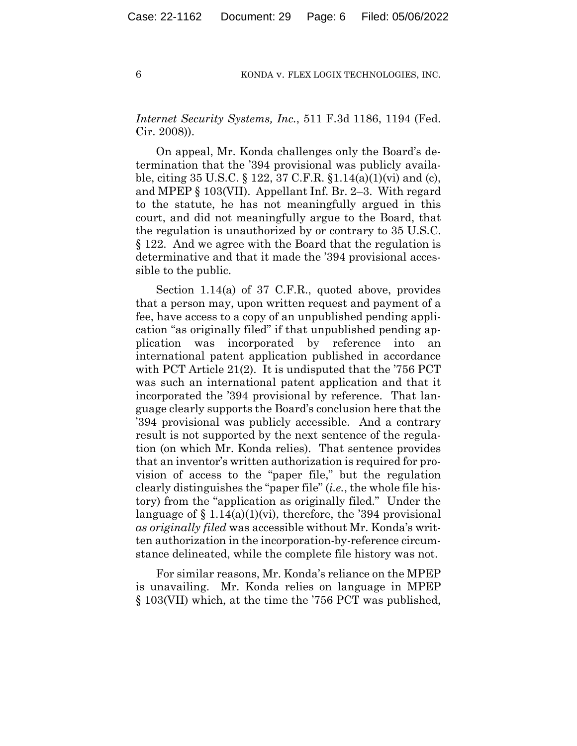*Internet Security Systems, Inc.*, 511 F.3d 1186, 1194 (Fed. Cir. 2008)).

On appeal, Mr. Konda challenges only the Board's determination that the '394 provisional was publicly available, citing 35 U.S.C. § 122, 37 C.F.R. §1.14(a)(1)(vi) and (c), and MPEP § 103(VII). Appellant Inf. Br. 2–3. With regard to the statute, he has not meaningfully argued in this court, and did not meaningfully argue to the Board, that the regulation is unauthorized by or contrary to 35 U.S.C. § 122. And we agree with the Board that the regulation is determinative and that it made the '394 provisional accessible to the public.

Section 1.14(a) of 37 C.F.R., quoted above, provides that a person may, upon written request and payment of a fee, have access to a copy of an unpublished pending application "as originally filed" if that unpublished pending application was incorporated by reference into an international patent application published in accordance with PCT Article 21(2). It is undisputed that the '756 PCT was such an international patent application and that it incorporated the '394 provisional by reference. That language clearly supports the Board's conclusion here that the '394 provisional was publicly accessible. And a contrary result is not supported by the next sentence of the regulation (on which Mr. Konda relies). That sentence provides that an inventor's written authorization is required for provision of access to the "paper file," but the regulation clearly distinguishes the "paper file" (*i.e.*, the whole file history) from the "application as originally filed." Under the language of  $\S 1.14(a)(1)(vi)$ , therefore, the '394 provisional *as originally filed* was accessible without Mr. Konda's written authorization in the incorporation-by-reference circumstance delineated, while the complete file history was not.

For similar reasons, Mr. Konda's reliance on the MPEP is unavailing. Mr. Konda relies on language in MPEP § 103(VII) which, at the time the '756 PCT was published,